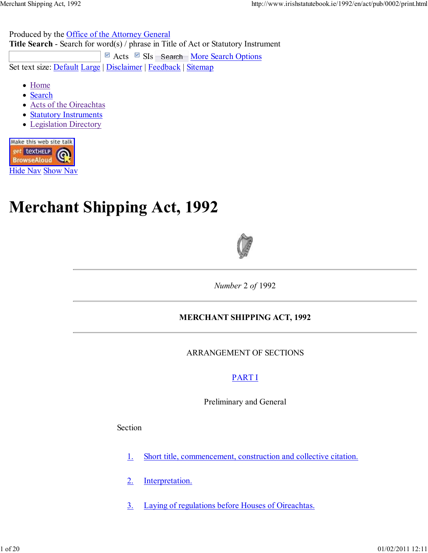Produced by the Office of the Attorney General

**Title Search** - Search for word(s) / phrase in Title of Act or Statutory Instrument  $\Box$  Acts  $\Box$  SIs Search More Search Options Set text size: Default Large | Disclaimer | Feedback | Sitemap

- Home
- Search
- Acts of the Oireachtas
- **Statutory Instruments**
- Legislation Directory



# **Merchant Shipping Act, 1992**



*Number* 2 *of* 1992

# **MERCHANT SHIPPING ACT, 1992**

ARRANGEMENT OF SECTIONS

# PART I

Preliminary and General

Section

- 1. Short title, commencement, construction and collective citation.
- 2. Interpretation.
- 3. Laying of regulations before Houses of Oireachtas.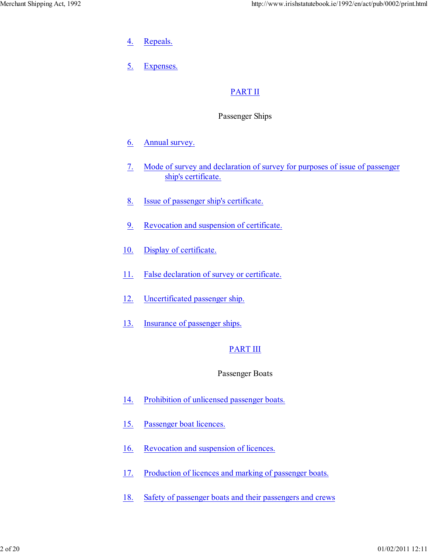- 4. Repeals.
- 5. Expenses.

# PART II

# Passenger Ships

- 6. Annual survey.
- 7. Mode of survey and declaration of survey for purposes of issue of passenger ship's certificate.
- 8. Issue of passenger ship's certificate.
- 9. Revocation and suspension of certificate.
- 10. Display of certificate.
- 11. False declaration of survey or certificate.
- 12. Uncertificated passenger ship.
- 13. Insurance of passenger ships.

# PART III

# Passenger Boats

- 14. Prohibition of unlicensed passenger boats.
- 15. Passenger boat licences.
- 16. Revocation and suspension of licences.
- 17. Production of licences and marking of passenger boats.
- 18. Safety of passenger boats and their passengers and crews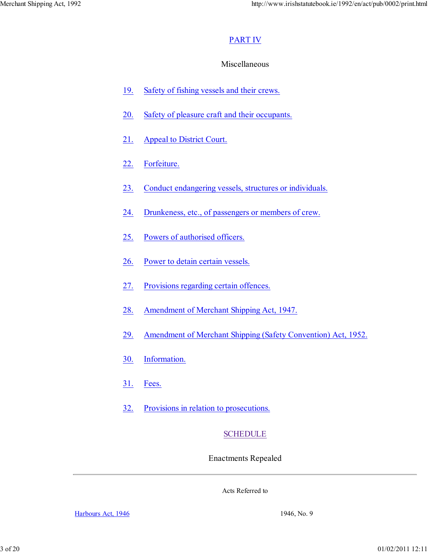# PART IV

# Miscellaneous

- 19. Safety of fishing vessels and their crews.
- 20. Safety of pleasure craft and their occupants.
- 21. Appeal to District Court.
- 22. Forfeiture.
- 23. Conduct endangering vessels, structures or individuals.
- 24. Drunkeness, etc., of passengers or members of crew.
- 25. Powers of authorised officers.
- 26. Power to detain certain vessels.
- 27. Provisions regarding certain offences.
- 28. Amendment of Merchant Shipping Act, 1947.
- 29. Amendment of Merchant Shipping (Safety Convention) Act, 1952.
- 30. Information.
- 31. Fees.
- 32. Provisions in relation to prosecutions.

# SCHEDULE

Enactments Repealed

Acts Referred to

Harbours Act, 1946 1946, No. 9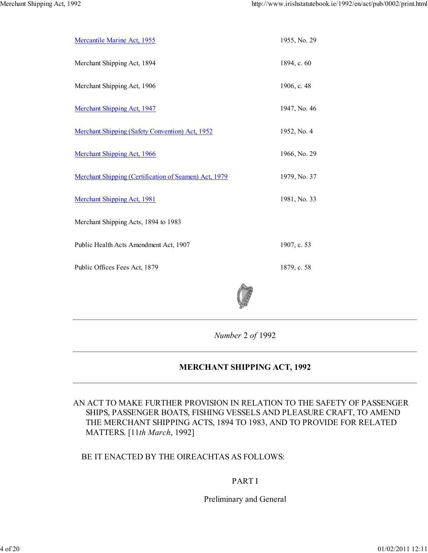| Mercantile Marine Act, 1955                           | 1955, No. 29 |
|-------------------------------------------------------|--------------|
| Merchant Shipping Act, 1894                           | 1894, c. 60  |
| Merchant Shipping Act, 1906                           | 1906, c. 48  |
| <b>Merchant Shipping Act, 1947</b>                    | 1947, No. 46 |
| Merchant Shipping (Safety Convention) Act, 1952       | 1952, No. 4  |
| Merchant Shipping Act, 1966                           | 1966, No. 29 |
| Merchant Shipping (Certification of Seamen) Act, 1979 | 1979, No. 37 |
| <b>Merchant Shipping Act, 1981</b>                    | 1981, No. 33 |
| Merchant Shipping Acts, 1894 to 1983                  |              |
| Public Health Acts Amendment Act, 1907                | 1907, c. 53  |
| Public Offices Fees Act, 1879                         | 1879, c. 58  |
|                                                       |              |
|                                                       |              |

*Number* 2 *of* 1992

# **MERCHANT SHIPPING ACT, 1992**

AN ACT TO MAKE FURTHER PROVISION IN RELATION TO THE SAFETY OF PASSENGER SHIPS, PASSENGER BOATS, FISHING VESSELS AND PLEASURE CRAFT, TO AMEND THE MERCHANT SHIPPING ACTS, 1894 TO 1983, AND TO PROVIDE FOR RELATED MATTERS. [11*th March*, 1992]

#### BE IT ENACTED BY THE OIREACHTAS AS FOLLOWS:

#### PART I

Preliminary and General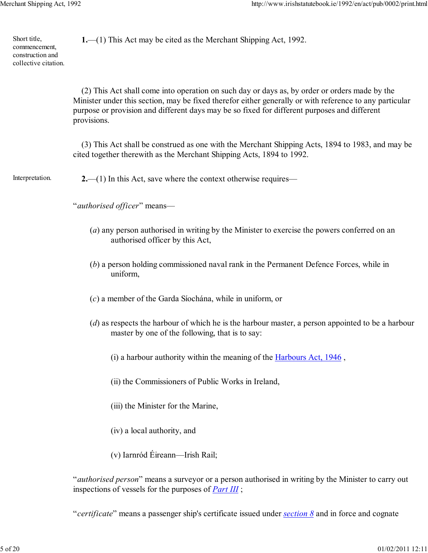Short title, commencement, construction and collective citation. **1.**—(1) This Act may be cited as the Merchant Shipping Act, 1992.

> (2) This Act shall come into operation on such day or days as, by order or orders made by the Minister under this section, may be fixed therefor either generally or with reference to any particular purpose or provision and different days may be so fixed for different purposes and different provisions.

> (3) This Act shall be construed as one with the Merchant Shipping Acts, 1894 to 1983, and may be cited together therewith as the Merchant Shipping Acts, 1894 to 1992.

Interpretation. **2.**—(1) In this Act, save where the context otherwise requires—

"*authorised officer*" means—

- (*a*) any person authorised in writing by the Minister to exercise the powers conferred on an authorised officer by this Act,
- (*b*) a person holding commissioned naval rank in the Permanent Defence Forces, while in uniform,
- (*c*) a member of the Garda Síochána, while in uniform, or
- (*d*) as respects the harbour of which he is the harbour master, a person appointed to be a harbour master by one of the following, that is to say:
	- (i) a harbour authority within the meaning of the Harbours Act, 1946 ,
	- (ii) the Commissioners of Public Works in Ireland,
	- (iii) the Minister for the Marine,
	- (iv) a local authority, and
	- (v) Iarnród Éireann—Irish Rail;

"*authorised person*" means a surveyor or a person authorised in writing by the Minister to carry out inspections of vessels for the purposes of *Part III* ;

"*certificate*" means a passenger ship's certificate issued under *section 8* and in force and cognate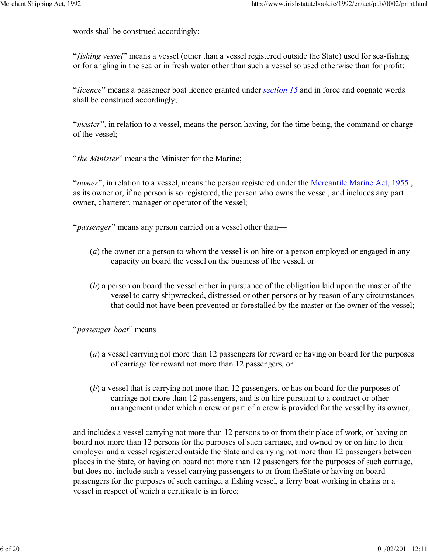words shall be construed accordingly;

"*fishing vessel*" means a vessel (other than a vessel registered outside the State) used for sea-fishing or for angling in the sea or in fresh water other than such a vessel so used otherwise than for profit;

"*licence*" means a passenger boat licence granted under *section 15* and in force and cognate words shall be construed accordingly;

"*master*", in relation to a vessel, means the person having, for the time being, the command or charge of the vessel;

"*the Minister*" means the Minister for the Marine;

"*owner*", in relation to a vessel, means the person registered under the Mercantile Marine Act, 1955 , as its owner or, if no person is so registered, the person who owns the vessel, and includes any part owner, charterer, manager or operator of the vessel;

"*passenger*" means any person carried on a vessel other than—

- (*a*) the owner or a person to whom the vessel is on hire or a person employed or engaged in any capacity on board the vessel on the business of the vessel, or
- (*b*) a person on board the vessel either in pursuance of the obligation laid upon the master of the vessel to carry shipwrecked, distressed or other persons or by reason of any circumstances that could not have been prevented or forestalled by the master or the owner of the vessel;

"*passenger boat*" means—

- (*a*) a vessel carrying not more than 12 passengers for reward or having on board for the purposes of carriage for reward not more than 12 passengers, or
- (*b*) a vessel that is carrying not more than 12 passengers, or has on board for the purposes of carriage not more than 12 passengers, and is on hire pursuant to a contract or other arrangement under which a crew or part of a crew is provided for the vessel by its owner,

and includes a vessel carrying not more than 12 persons to or from their place of work, or having on board not more than 12 persons for the purposes of such carriage, and owned by or on hire to their employer and a vessel registered outside the State and carrying not more than 12 passengers between places in the State, or having on board not more than 12 passengers for the purposes of such carriage, but does not include such a vessel carrying passengers to or from theState or having on board passengers for the purposes of such carriage, a fishing vessel, a ferry boat working in chains or a vessel in respect of which a certificate is in force;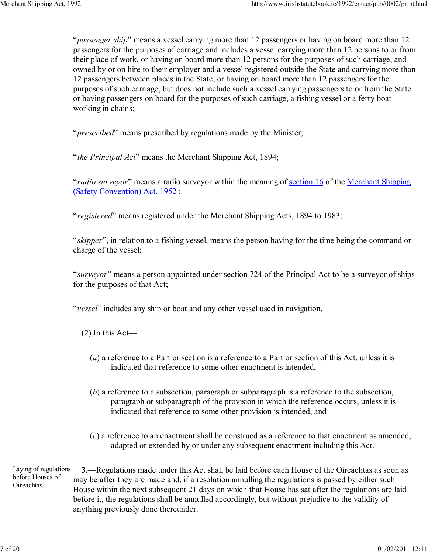"*passenger ship*" means a vessel carrying more than 12 passengers or having on board more than 12 passengers for the purposes of carriage and includes a vessel carrying more than 12 persons to or from their place of work, or having on board more than 12 persons for the purposes of such carriage, and owned by or on hire to their employer and a vessel registered outside the State and carrying more than 12 passengers between places in the State, or having on board more than 12 passengers for the purposes of such carriage, but does not include such a vessel carrying passengers to or from the State or having passengers on board for the purposes of such carriage, a fishing vessel or a ferry boat working in chains;

"*prescribed*" means prescribed by regulations made by the Minister;

"*the Principal Act*" means the Merchant Shipping Act, 1894;

"*radio surveyor*" means a radio surveyor within the meaning of section 16 of the Merchant Shipping (Safety Convention) Act, 1952 ;

"*registered*" means registered under the Merchant Shipping Acts, 1894 to 1983;

"*skipper*", in relation to a fishing vessel, means the person having for the time being the command or charge of the vessel;

"*surveyor*" means a person appointed under section 724 of the Principal Act to be a surveyor of ships for the purposes of that Act;

"*vessel*" includes any ship or boat and any other vessel used in navigation.

(2) In this Act—

- (*a*) a reference to a Part or section is a reference to a Part or section of this Act, unless it is indicated that reference to some other enactment is intended,
- (*b*) a reference to a subsection, paragraph or subparagraph is a reference to the subsection, paragraph or subparagraph of the provision in which the reference occurs, unless it is indicated that reference to some other provision is intended, and
- (*c*) a reference to an enactment shall be construed as a reference to that enactment as amended, adapted or extended by or under any subsequent enactment including this Act.

Laying of regulations before Houses of Oireachtas. **3.**—Regulations made under this Act shall be laid before each House of the Oireachtas as soon as may be after they are made and, if a resolution annulling the regulations is passed by either such House within the next subsequent 21 days on which that House has sat after the regulations are laid before it, the regulations shall be annulled accordingly, but without prejudice to the validity of anything previously done thereunder.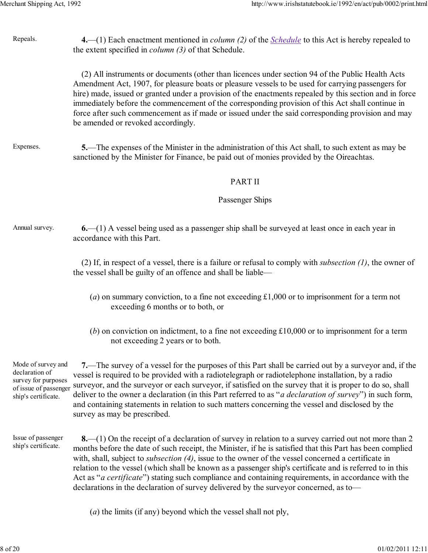| Repeals.                                                                                                    | 4.—(1) Each enactment mentioned in <i>column</i> (2) of the <i>Schedule</i> to this Act is hereby repealed to<br>the extent specified in <i>column</i> (3) of that Schedule.                                                                                                                                                                                                                                                                                                                                                                                                                                                                              |
|-------------------------------------------------------------------------------------------------------------|-----------------------------------------------------------------------------------------------------------------------------------------------------------------------------------------------------------------------------------------------------------------------------------------------------------------------------------------------------------------------------------------------------------------------------------------------------------------------------------------------------------------------------------------------------------------------------------------------------------------------------------------------------------|
|                                                                                                             | (2) All instruments or documents (other than licences under section 94 of the Public Health Acts<br>Amendment Act, 1907, for pleasure boats or pleasure vessels to be used for carrying passengers for<br>hire) made, issued or granted under a provision of the enactments repealed by this section and in force<br>immediately before the commencement of the corresponding provision of this Act shall continue in<br>force after such commencement as if made or issued under the said corresponding provision and may<br>be amended or revoked accordingly.                                                                                          |
| Expenses.                                                                                                   | 5.—The expenses of the Minister in the administration of this Act shall, to such extent as may be<br>sanctioned by the Minister for Finance, be paid out of monies provided by the Oireachtas.                                                                                                                                                                                                                                                                                                                                                                                                                                                            |
|                                                                                                             | <b>PART II</b>                                                                                                                                                                                                                                                                                                                                                                                                                                                                                                                                                                                                                                            |
|                                                                                                             | Passenger Ships                                                                                                                                                                                                                                                                                                                                                                                                                                                                                                                                                                                                                                           |
| Annual survey.                                                                                              | $6-(1)$ A vessel being used as a passenger ship shall be surveyed at least once in each year in<br>accordance with this Part.                                                                                                                                                                                                                                                                                                                                                                                                                                                                                                                             |
|                                                                                                             | (2) If, in respect of a vessel, there is a failure or refusal to comply with <i>subsection</i> $(l)$ , the owner of<br>the vessel shall be guilty of an offence and shall be liable—                                                                                                                                                                                                                                                                                                                                                                                                                                                                      |
|                                                                                                             | (a) on summary conviction, to a fine not exceeding $\pounds1,000$ or to imprisonment for a term not<br>exceeding 6 months or to both, or                                                                                                                                                                                                                                                                                                                                                                                                                                                                                                                  |
|                                                                                                             | (b) on conviction on indictment, to a fine not exceeding $£10,000$ or to imprisonment for a term<br>not exceeding 2 years or to both.                                                                                                                                                                                                                                                                                                                                                                                                                                                                                                                     |
| Mode of survey and<br>declaration of<br>survey for purposes<br>of issue of passenger<br>ship's certificate. | 7.—The survey of a vessel for the purposes of this Part shall be carried out by a surveyor and, if the<br>vessel is required to be provided with a radiotelegraph or radiotelephone installation, by a radio<br>surveyor, and the surveyor or each surveyor, if satisfied on the survey that it is proper to do so, shall<br>deliver to the owner a declaration (in this Part referred to as " <i>a declaration of survey</i> ") in such form,<br>and containing statements in relation to such matters concerning the vessel and disclosed by the<br>survey as may be prescribed.                                                                        |
| Issue of passenger<br>ship's certificate.                                                                   | $8-(1)$ On the receipt of a declaration of survey in relation to a survey carried out not more than 2<br>months before the date of such receipt, the Minister, if he is satisfied that this Part has been complied<br>with, shall, subject to <i>subsection</i> $(4)$ , issue to the owner of the vessel concerned a certificate in<br>relation to the vessel (which shall be known as a passenger ship's certificate and is referred to in this<br>Act as " <i>a certificate</i> ") stating such compliance and containing requirements, in accordance with the<br>declarations in the declaration of survey delivered by the surveyor concerned, as to- |

(*a*) the limits (if any) beyond which the vessel shall not ply,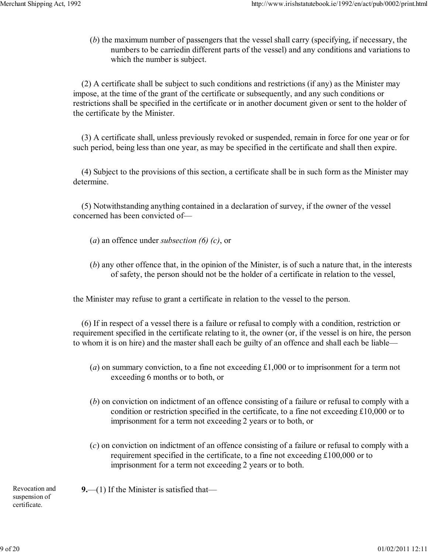(*b*) the maximum number of passengers that the vessel shall carry (specifying, if necessary, the numbers to be carriedin different parts of the vessel) and any conditions and variations to which the number is subject.

(2) A certificate shall be subject to such conditions and restrictions (if any) as the Minister may impose, at the time of the grant of the certificate or subsequently, and any such conditions or restrictions shall be specified in the certificate or in another document given or sent to the holder of the certificate by the Minister.

(3) A certificate shall, unless previously revoked or suspended, remain in force for one year or for such period, being less than one year, as may be specified in the certificate and shall then expire.

(4) Subject to the provisions of this section, a certificate shall be in such form as the Minister may determine.

(5) Notwithstanding anything contained in a declaration of survey, if the owner of the vessel concerned has been convicted of—

- (*a*) an offence under *subsection (6) (c)*, or
- (*b*) any other offence that, in the opinion of the Minister, is of such a nature that, in the interests of safety, the person should not be the holder of a certificate in relation to the vessel,

the Minister may refuse to grant a certificate in relation to the vessel to the person.

(6) If in respect of a vessel there is a failure or refusal to comply with a condition, restriction or requirement specified in the certificate relating to it, the owner (or, if the vessel is on hire, the person to whom it is on hire) and the master shall each be guilty of an offence and shall each be liable—

- (*a*) on summary conviction, to a fine not exceeding £1,000 or to imprisonment for a term not exceeding 6 months or to both, or
- (*b*) on conviction on indictment of an offence consisting of a failure or refusal to comply with a condition or restriction specified in the certificate, to a fine not exceeding £10,000 or to imprisonment for a term not exceeding 2 years or to both, or
- (*c*) on conviction on indictment of an offence consisting of a failure or refusal to comply with a requirement specified in the certificate, to a fine not exceeding £100,000 or to imprisonment for a term not exceeding 2 years or to both.

Revocation and suspension of certificate.

**9.**—(1) If the Minister is satisfied that—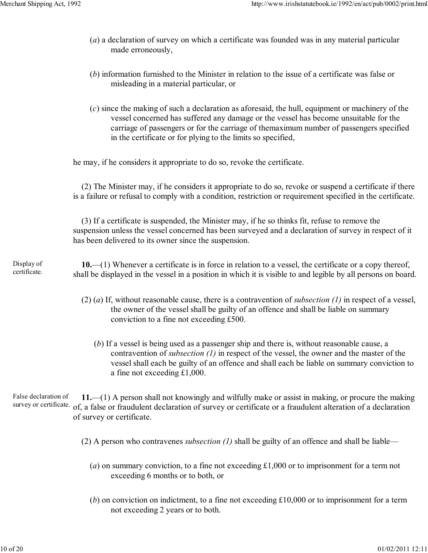- (*a*) a declaration of survey on which a certificate was founded was in any material particular made erroneously,
- (*b*) information furnished to the Minister in relation to the issue of a certificate was false or misleading in a material particular, or
- (*c*) since the making of such a declaration as aforesaid, the hull, equipment or machinery of the vessel concerned has suffered any damage or the vessel has become unsuitable for the carriage of passengers or for the carriage of themaximum number of passengers specified in the certificate or for plying to the limits so specified,

he may, if he considers it appropriate to do so, revoke the certificate.

(2) The Minister may, if he considers it appropriate to do so, revoke or suspend a certificate if there is a failure or refusal to comply with a condition, restriction or requirement specified in the certificate.

(3) If a certificate is suspended, the Minister may, if he so thinks fit, refuse to remove the suspension unless the vessel concerned has been surveyed and a declaration of survey in respect of it has been delivered to its owner since the suspension.

#### Display of certificate.

**10.**—(1) Whenever a certificate is in force in relation to a vessel, the certificate or a copy thereof, shall be displayed in the vessel in a position in which it is visible to and legible by all persons on board.

- (2) (*a*) If, without reasonable cause, there is a contravention of *subsection (1)* in respect of a vessel, the owner of the vessel shall be guilty of an offence and shall be liable on summary conviction to a fine not exceeding £500.
	- (*b*) If a vessel is being used as a passenger ship and there is, without reasonable cause, a contravention of *subsection (1)* in respect of the vessel, the owner and the master of the vessel shall each be guilty of an offence and shall each be liable on summary conviction to a fine not exceeding £1,000.

False declaration of survey or certificate. **11.**—(1) A person shall not knowingly and wilfully make or assist in making, or procure the making of, a false or fraudulent declaration of survey or certificate or a fraudulent alteration of a declaration of survey or certificate.

(2) A person who contravenes *subsection (1)* shall be guilty of an offence and shall be liable—

- (*a*) on summary conviction, to a fine not exceeding £1,000 or to imprisonment for a term not exceeding 6 months or to both, or
- (*b*) on conviction on indictment, to a fine not exceeding £10,000 or to imprisonment for a term not exceeding 2 years or to both.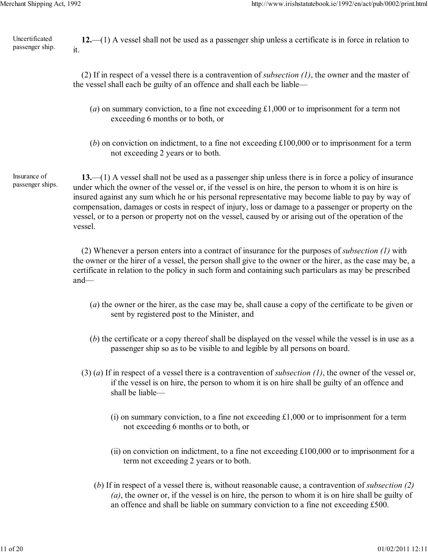Uncertificated passenger ship.

**12.**—(1) A vessel shall not be used as a passenger ship unless a certificate is in force in relation to it.

(2) If in respect of a vessel there is a contravention of *subsection (1)*, the owner and the master of the vessel shall each be guilty of an offence and shall each be liable—

- (*a*) on summary conviction, to a fine not exceeding £1,000 or to imprisonment for a term not exceeding 6 months or to both, or
- (*b*) on conviction on indictment, to a fine not exceeding £100,000 or to imprisonment for a term not exceeding 2 years or to both.

Insurance of passenger ships.

**13.**—(1) A vessel shall not be used as a passenger ship unless there is in force a policy of insurance under which the owner of the vessel or, if the vessel is on hire, the person to whom it is on hire is insured against any sum which he or his personal representative may become liable to pay by way of compensation, damages or costs in respect of injury, loss or damage to a passenger or property on the vessel, or to a person or property not on the vessel, caused by or arising out of the operation of the vessel.

(2) Whenever a person enters into a contract of insurance for the purposes of *subsection (1)* with the owner or the hirer of a vessel, the person shall give to the owner or the hirer, as the case may be, a certificate in relation to the policy in such form and containing such particulars as may be prescribed and—

- (*a*) the owner or the hirer, as the case may be, shall cause a copy of the certificate to be given or sent by registered post to the Minister, and
- (*b*) the certificate or a copy thereof shall be displayed on the vessel while the vessel is in use as a passenger ship so as to be visible to and legible by all persons on board.
- (3) (*a*) If in respect of a vessel there is a contravention of *subsection (1)*, the owner of the vessel or, if the vessel is on hire, the person to whom it is on hire shall be guilty of an offence and shall be liable—
	- (i) on summary conviction, to a fine not exceeding  $\pounds1,000$  or to imprisonment for a term not exceeding 6 months or to both, or
	- (ii) on conviction on indictment, to a fine not exceeding £100,000 or to imprisonment for a term not exceeding 2 years or to both.
	- (*b*) If in respect of a vessel there is, without reasonable cause, a contravention of *subsection (2) (a)*, the owner or, if the vessel is on hire, the person to whom it is on hire shall be guilty of an offence and shall be liable on summary conviction to a fine not exceeding £500.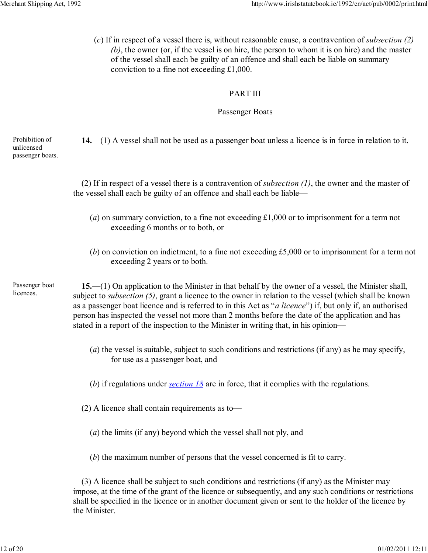(*c*) If in respect of a vessel there is, without reasonable cause, a contravention of *subsection (2) (b)*, the owner (or, if the vessel is on hire, the person to whom it is on hire) and the master of the vessel shall each be guilty of an offence and shall each be liable on summary conviction to a fine not exceeding £1,000.

# PART III

# Passenger Boats

Prohibition of unlicensed passenger boats. **14.**—(1) A vessel shall not be used as a passenger boat unless a licence is in force in relation to it.

> (2) If in respect of a vessel there is a contravention of *subsection (1)*, the owner and the master of the vessel shall each be guilty of an offence and shall each be liable—

- (*a*) on summary conviction, to a fine not exceeding £1,000 or to imprisonment for a term not exceeding 6 months or to both, or
- (*b*) on conviction on indictment, to a fine not exceeding £5,000 or to imprisonment for a term not exceeding 2 years or to both.

Passenger boat licences.

**15.**—(1) On application to the Minister in that behalf by the owner of a vessel, the Minister shall, subject to *subsection (5)*, grant a licence to the owner in relation to the vessel (which shall be known as a passenger boat licence and is referred to in this Act as "*a licence*") if, but only if, an authorised person has inspected the vessel not more than 2 months before the date of the application and has stated in a report of the inspection to the Minister in writing that, in his opinion—

- (*a*) the vessel is suitable, subject to such conditions and restrictions (if any) as he may specify, for use as a passenger boat, and
- (*b*) if regulations under *section 18* are in force, that it complies with the regulations.
- (2) A licence shall contain requirements as to—
	- (*a*) the limits (if any) beyond which the vessel shall not ply, and
	- (*b*) the maximum number of persons that the vessel concerned is fit to carry.

(3) A licence shall be subject to such conditions and restrictions (if any) as the Minister may impose, at the time of the grant of the licence or subsequently, and any such conditions or restrictions shall be specified in the licence or in another document given or sent to the holder of the licence by the Minister.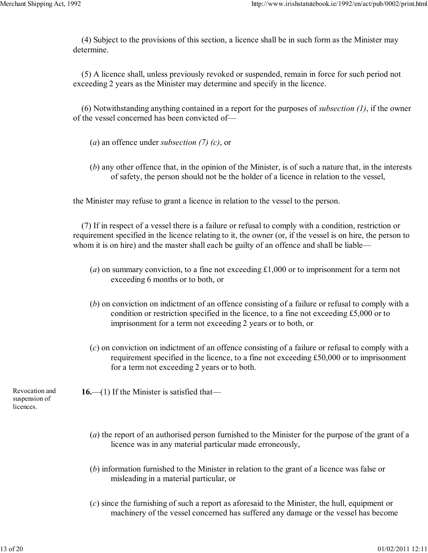(4) Subject to the provisions of this section, a licence shall be in such form as the Minister may determine.

(5) A licence shall, unless previously revoked or suspended, remain in force for such period not exceeding 2 years as the Minister may determine and specify in the licence.

(6) Notwithstanding anything contained in a report for the purposes of *subsection (1)*, if the owner of the vessel concerned has been convicted of—

- (*a*) an offence under *subsection (7) (c)*, or
- (*b*) any other offence that, in the opinion of the Minister, is of such a nature that, in the interests of safety, the person should not be the holder of a licence in relation to the vessel,

the Minister may refuse to grant a licence in relation to the vessel to the person.

(7) If in respect of a vessel there is a failure or refusal to comply with a condition, restriction or requirement specified in the licence relating to it, the owner (or, if the vessel is on hire, the person to whom it is on hire) and the master shall each be guilty of an offence and shall be liable—

- (*a*) on summary conviction, to a fine not exceeding £1,000 or to imprisonment for a term not exceeding 6 months or to both, or
- (*b*) on conviction on indictment of an offence consisting of a failure or refusal to comply with a condition or restriction specified in the licence, to a fine not exceeding £5,000 or to imprisonment for a term not exceeding 2 years or to both, or
- (*c*) on conviction on indictment of an offence consisting of a failure or refusal to comply with a requirement specified in the licence, to a fine not exceeding £50,000 or to imprisonment for a term not exceeding 2 years or to both.

Revocation and suspension of licences.

**16.**—(1) If the Minister is satisfied that—

- (*a*) the report of an authorised person furnished to the Minister for the purpose of the grant of a licence was in any material particular made erroneously,
- (*b*) information furnished to the Minister in relation to the grant of a licence was false or misleading in a material particular, or
- (*c*) since the furnishing of such a report as aforesaid to the Minister, the hull, equipment or machinery of the vessel concerned has suffered any damage or the vessel has become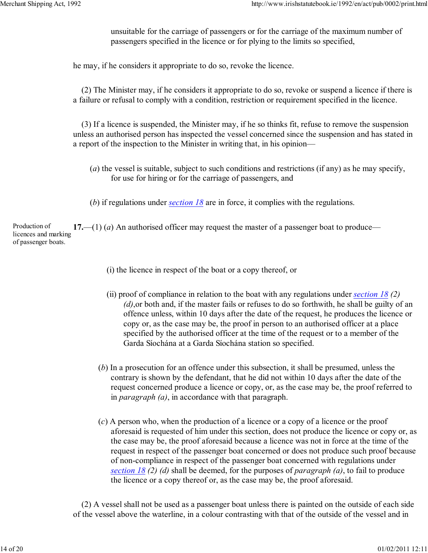unsuitable for the carriage of passengers or for the carriage of the maximum number of passengers specified in the licence or for plying to the limits so specified,

he may, if he considers it appropriate to do so, revoke the licence.

(2) The Minister may, if he considers it appropriate to do so, revoke or suspend a licence if there is a failure or refusal to comply with a condition, restriction or requirement specified in the licence.

(3) If a licence is suspended, the Minister may, if he so thinks fit, refuse to remove the suspension unless an authorised person has inspected the vessel concerned since the suspension and has stated in a report of the inspection to the Minister in writing that, in his opinion—

- (*a*) the vessel is suitable, subject to such conditions and restrictions (if any) as he may specify, for use for hiring or for the carriage of passengers, and
- (*b*) if regulations under *section 18* are in force, it complies with the regulations.

Production of licences and marking of passenger boats. **17.**—(1) (*a*) An authorised officer may request the master of a passenger boat to produce—

- (i) the licence in respect of the boat or a copy thereof, or
- (ii) proof of compliance in relation to the boat with any regulations under *section 18 (2) (d)*,or both and, if the master fails or refuses to do so forthwith, he shall be guilty of an offence unless, within 10 days after the date of the request, he produces the licence or copy or, as the case may be, the proof in person to an authorised officer at a place specified by the authorised officer at the time of the request or to a member of the Garda Síochána at a Garda Síochána station so specified.
- (*b*) In a prosecution for an offence under this subsection, it shall be presumed, unless the contrary is shown by the defendant, that he did not within 10 days after the date of the request concerned produce a licence or copy, or, as the case may be, the proof referred to in *paragraph (a)*, in accordance with that paragraph.
- (*c*) A person who, when the production of a licence or a copy of a licence or the proof aforesaid is requested of him under this section, does not produce the licence or copy or, as the case may be, the proof aforesaid because a licence was not in force at the time of the request in respect of the passenger boat concerned or does not produce such proof because of non-compliance in respect of the passenger boat concerned with regulations under *section 18 (2) (d)* shall be deemed, for the purposes of *paragraph (a)*, to fail to produce the licence or a copy thereof or, as the case may be, the proof aforesaid.

(2) A vessel shall not be used as a passenger boat unless there is painted on the outside of each side of the vessel above the waterline, in a colour contrasting with that of the outside of the vessel and in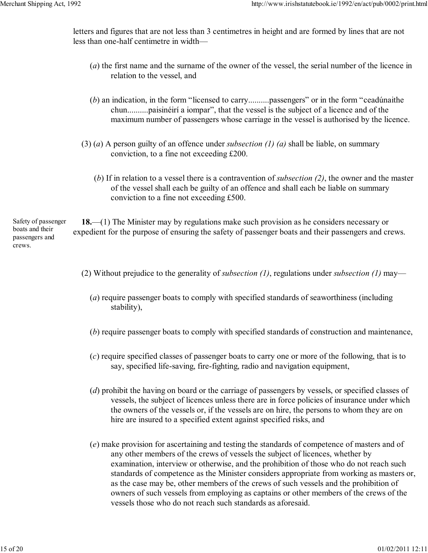letters and figures that are not less than 3 centimetres in height and are formed by lines that are not less than one-half centimetre in width—

- (*a*) the first name and the surname of the owner of the vessel, the serial number of the licence in relation to the vessel, and
- (*b*) an indication, in the form "licensed to carry..........passengers" or in the form "ceadúnaithe chun..........paisinéirí a iompar", that the vessel is the subject of a licence and of the maximum number of passengers whose carriage in the vessel is authorised by the licence.
- (3) (*a*) A person guilty of an offence under *subsection (1) (a)* shall be liable, on summary conviction, to a fine not exceeding £200.
	- (*b*) If in relation to a vessel there is a contravention of *subsection (2)*, the owner and the master of the vessel shall each be guilty of an offence and shall each be liable on summary conviction to a fine not exceeding £500.

Safety of passenger boats and their passengers and crews.

- **18.**—(1) The Minister may by regulations make such provision as he considers necessary or expedient for the purpose of ensuring the safety of passenger boats and their passengers and crews.
	- (2) Without prejudice to the generality of *subsection (1)*, regulations under *subsection (1)* may—
		- (*a*) require passenger boats to comply with specified standards of seaworthiness (including stability),
		- (*b*) require passenger boats to comply with specified standards of construction and maintenance,
		- (*c*) require specified classes of passenger boats to carry one or more of the following, that is to say, specified life-saving, fire-fighting, radio and navigation equipment,
		- (*d*) prohibit the having on board or the carriage of passengers by vessels, or specified classes of vessels, the subject of licences unless there are in force policies of insurance under which the owners of the vessels or, if the vessels are on hire, the persons to whom they are on hire are insured to a specified extent against specified risks, and
		- (*e*) make provision for ascertaining and testing the standards of competence of masters and of any other members of the crews of vessels the subject of licences, whether by examination, interview or otherwise, and the prohibition of those who do not reach such standards of competence as the Minister considers appropriate from working as masters or, as the case may be, other members of the crews of such vessels and the prohibition of owners of such vessels from employing as captains or other members of the crews of the vessels those who do not reach such standards as aforesaid.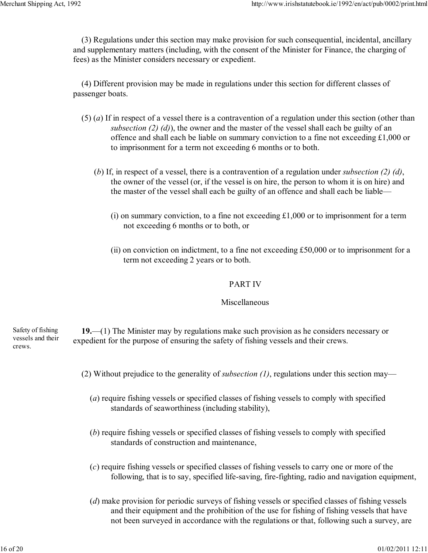(3) Regulations under this section may make provision for such consequential, incidental, ancillary and supplementary matters (including, with the consent of the Minister for Finance, the charging of fees) as the Minister considers necessary or expedient.

(4) Different provision may be made in regulations under this section for different classes of passenger boats.

- (5) (*a*) If in respect of a vessel there is a contravention of a regulation under this section (other than *subsection (2) (d)*), the owner and the master of the vessel shall each be guilty of an offence and shall each be liable on summary conviction to a fine not exceeding £1,000 or to imprisonment for a term not exceeding 6 months or to both.
	- (*b*) If, in respect of a vessel, there is a contravention of a regulation under *subsection (2) (d)*, the owner of the vessel (or, if the vessel is on hire, the person to whom it is on hire) and the master of the vessel shall each be guilty of an offence and shall each be liable—
		- (i) on summary conviction, to a fine not exceeding  $\pounds1,000$  or to imprisonment for a term not exceeding 6 months or to both, or
		- (ii) on conviction on indictment, to a fine not exceeding £50,000 or to imprisonment for a term not exceeding 2 years or to both.

# PART IV

# Miscellaneous

Safety of fishing vessels and their crews. **19.**—(1) The Minister may by regulations make such provision as he considers necessary or expedient for the purpose of ensuring the safety of fishing vessels and their crews.

- (2) Without prejudice to the generality of *subsection (1)*, regulations under this section may—
	- (*a*) require fishing vessels or specified classes of fishing vessels to comply with specified standards of seaworthiness (including stability),
	- (*b*) require fishing vessels or specified classes of fishing vessels to comply with specified standards of construction and maintenance,
	- (*c*) require fishing vessels or specified classes of fishing vessels to carry one or more of the following, that is to say, specified life-saving, fire-fighting, radio and navigation equipment,
	- (*d*) make provision for periodic surveys of fishing vessels or specified classes of fishing vessels and their equipment and the prohibition of the use for fishing of fishing vessels that have not been surveyed in accordance with the regulations or that, following such a survey, are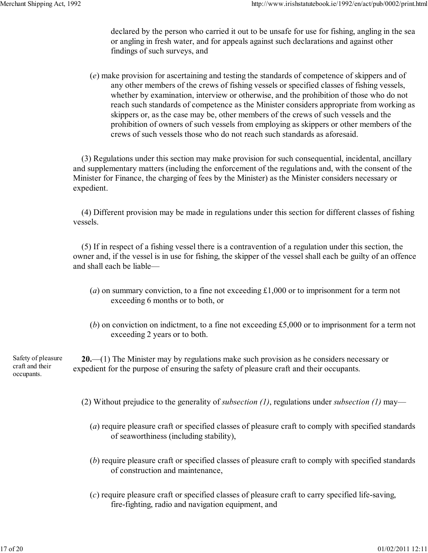declared by the person who carried it out to be unsafe for use for fishing, angling in the sea or angling in fresh water, and for appeals against such declarations and against other findings of such surveys, and

(*e*) make provision for ascertaining and testing the standards of competence of skippers and of any other members of the crews of fishing vessels or specified classes of fishing vessels, whether by examination, interview or otherwise, and the prohibition of those who do not reach such standards of competence as the Minister considers appropriate from working as skippers or, as the case may be, other members of the crews of such vessels and the prohibition of owners of such vessels from employing as skippers or other members of the crews of such vessels those who do not reach such standards as aforesaid.

(3) Regulations under this section may make provision for such consequential, incidental, ancillary and supplementary matters (including the enforcement of the regulations and, with the consent of the Minister for Finance, the charging of fees by the Minister) as the Minister considers necessary or expedient.

(4) Different provision may be made in regulations under this section for different classes of fishing vessels.

(5) If in respect of a fishing vessel there is a contravention of a regulation under this section, the owner and, if the vessel is in use for fishing, the skipper of the vessel shall each be guilty of an offence and shall each be liable—

- (*a*) on summary conviction, to a fine not exceeding £1,000 or to imprisonment for a term not exceeding 6 months or to both, or
- (*b*) on conviction on indictment, to a fine not exceeding £5,000 or to imprisonment for a term not exceeding 2 years or to both.

Safety of pleasure craft and their occupants. **20.**—(1) The Minister may by regulations make such provision as he considers necessary or expedient for the purpose of ensuring the safety of pleasure craft and their occupants.

- (2) Without prejudice to the generality of *subsection (1)*, regulations under *subsection (1)* may—
	- (*a*) require pleasure craft or specified classes of pleasure craft to comply with specified standards of seaworthiness (including stability),
	- (*b*) require pleasure craft or specified classes of pleasure craft to comply with specified standards of construction and maintenance,
	- (*c*) require pleasure craft or specified classes of pleasure craft to carry specified life-saving, fire-fighting, radio and navigation equipment, and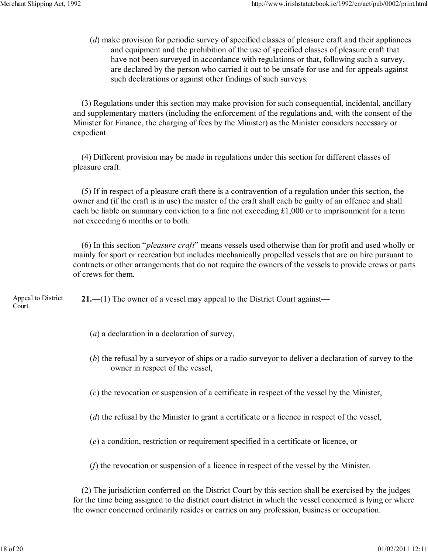(*d*) make provision for periodic survey of specified classes of pleasure craft and their appliances and equipment and the prohibition of the use of specified classes of pleasure craft that have not been surveyed in accordance with regulations or that, following such a survey, are declared by the person who carried it out to be unsafe for use and for appeals against such declarations or against other findings of such surveys.

(3) Regulations under this section may make provision for such consequential, incidental, ancillary and supplementary matters (including the enforcement of the regulations and, with the consent of the Minister for Finance, the charging of fees by the Minister) as the Minister considers necessary or expedient.

(4) Different provision may be made in regulations under this section for different classes of pleasure craft.

(5) If in respect of a pleasure craft there is a contravention of a regulation under this section, the owner and (if the craft is in use) the master of the craft shall each be guilty of an offence and shall each be liable on summary conviction to a fine not exceeding £1,000 or to imprisonment for a term not exceeding 6 months or to both.

(6) In this section "*pleasure craft*" means vessels used otherwise than for profit and used wholly or mainly for sport or recreation but includes mechanically propelled vessels that are on hire pursuant to contracts or other arrangements that do not require the owners of the vessels to provide crews or parts of crews for them.

Appeal to District Court. **21.**—(1) The owner of a vessel may appeal to the District Court against—

- (*a*) a declaration in a declaration of survey,
- (*b*) the refusal by a surveyor of ships or a radio surveyor to deliver a declaration of survey to the owner in respect of the vessel,
- (*c*) the revocation or suspension of a certificate in respect of the vessel by the Minister,
- (*d*) the refusal by the Minister to grant a certificate or a licence in respect of the vessel,
- (*e*) a condition, restriction or requirement specified in a certificate or licence, or
- (*f*) the revocation or suspension of a licence in respect of the vessel by the Minister.

(2) The jurisdiction conferred on the District Court by this section shall be exercised by the judges for the time being assigned to the district court district in which the vessel concerned is lying or where the owner concerned ordinarily resides or carries on any profession, business or occupation.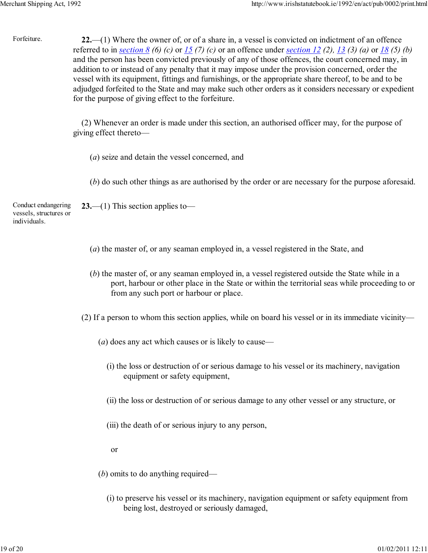Forfeiture. **22.**—(1) Where the owner of, or of a share in, a vessel is convicted on indictment of an offence referred to in *section 8 (6) (c)* or *15 (7) (c)* or an offence under *section 12 (2), 13 (3) (a)* or *18 (5) (b)* and the person has been convicted previously of any of those offences, the court concerned may, in addition to or instead of any penalty that it may impose under the provision concerned, order the vessel with its equipment, fittings and furnishings, or the appropriate share thereof, to be and to be adjudged forfeited to the State and may make such other orders as it considers necessary or expedient for the purpose of giving effect to the forfeiture.

> (2) Whenever an order is made under this section, an authorised officer may, for the purpose of giving effect thereto—

- (*a*) seize and detain the vessel concerned, and
- (*b*) do such other things as are authorised by the order or are necessary for the purpose aforesaid.

Conduct endangering vessels, structures or individuals. **23.**—(1) This section applies to—

- (*a*) the master of, or any seaman employed in, a vessel registered in the State, and
- (*b*) the master of, or any seaman employed in, a vessel registered outside the State while in a port, harbour or other place in the State or within the territorial seas while proceeding to or from any such port or harbour or place.
- (2) If a person to whom this section applies, while on board his vessel or in its immediate vicinity—
	- (*a*) does any act which causes or is likely to cause—
		- (i) the loss or destruction of or serious damage to his vessel or its machinery, navigation equipment or safety equipment,
		- (ii) the loss or destruction of or serious damage to any other vessel or any structure, or
		- (iii) the death of or serious injury to any person,
		- or
	- (*b*) omits to do anything required—
		- (i) to preserve his vessel or its machinery, navigation equipment or safety equipment from being lost, destroyed or seriously damaged,